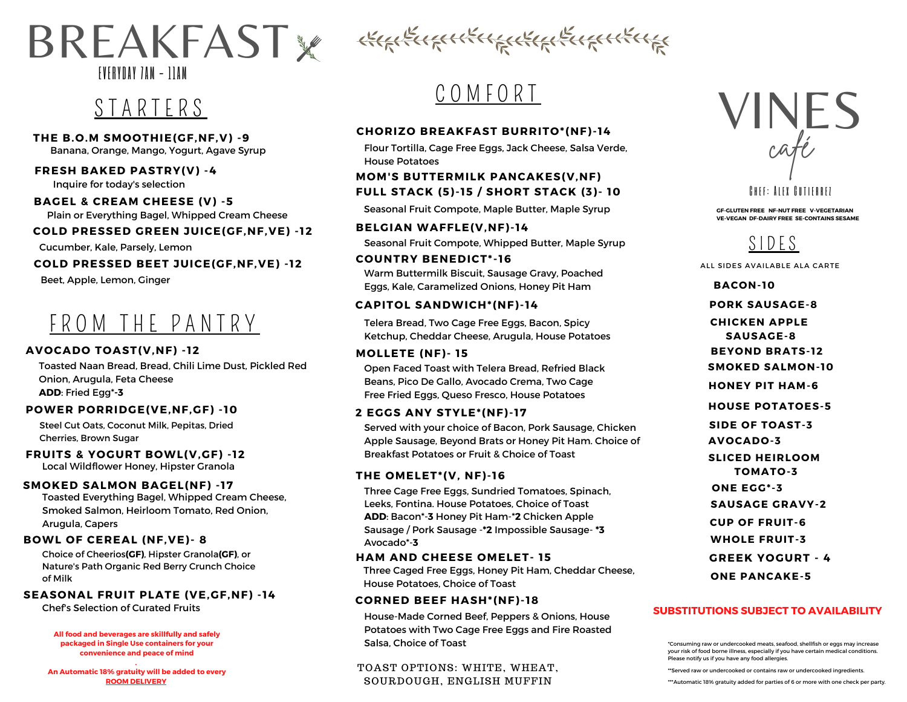### BREAKFAST & KGREICHTHALLER EVERYDAY 7AM - 1 1AM

### S T A R T E R S

**THE B.O.M SMOOTHIE(GF,NF,V) -9** Banana, Orange, Mango, Yogurt, Agave Syrup

#### **FRESH BAKED PASTRY(V) -4**

Inquire for today's selection

#### **BAGEL & CREAM CHEESE (V) -5**

Plain or Everything Bagel, Whipped Cream Cheese

#### **COLD PRESSED GREEN JUICE(GF,NF,VE) - 12**

Cucumber, Kale, Parsely, Lemon

#### **COLD PRESSED BEET JUICE(GF,NF,VE) - 12**

Beet, Apple, Lemon, Ginger

### FROM THE PANTRY

#### **AVOCADO TOAST(V,NF) - 12**

Toasted Naan Bread, Bread, Chili Lime Dust, Pickled Red Onion, Arugula, Feta Cheese **ADD**: Fried Egg\***-3**

#### **POWER PORRIDGE(VE,NF,GF) - 10**

Steel Cut Oats, Coconut Milk, Pepitas, Dried Cherries, Brown Sugar

#### **FRUITS & YOGURT BOWL(V,GF) - 12**

Local Wildflower Honey, Hipster Granola

#### **SMOKED SALMON BAGEL(NF) - 17**

Toasted Everything Bagel, Whipped Cream Cheese, Smoked Salmon, Heirloom Tomato, Red Onion, Arugula, Capers

#### **BOWL OF CEREAL (NF,VE)- 8**

Choice of Cheerios**(GF)**, Hipster Granola**(GF)**, or Nature's Path Organic Red Berry Crunch Choice of Milk

#### **SEASONAL FRUIT PLATE (VE,GF,NF) - 14**

Chef's Selection of Curated Fruits

#### **All food and beverages are skillfully and safely packaged in Single Use containers for your convenience and peace of mind**

**. An Automatic 18% gratuity will be added to every ROOM DELIVERY**

### C O M F O R T

#### **CHORIZO BREAKFAST BURRITO\*(NF)- 14**

Flour Tortilla, Cage Free Eggs, Jack Cheese, Salsa Verde, House Potatoes

#### **MOM'S BUTTERMILK PANCAKES(V,NF) FULL STACK (5)- 15 / SHORT STACK (3)- 10**

Seasonal Fruit Compote, Maple Butter, Maple Syrup

#### **BELGIAN WAFFLE(V,NF)- 14**

Seasonal Fruit Compote, Whipped Butter, Maple Syrup

#### **COUNTRY BENEDICT\*- 16**

Warm Buttermilk Biscuit, Sausage Gravy, Poached Eggs, Kale, Caramelized Onions, Honey Pit Ham

#### **CAPITOL SANDWICH\*(NF)- 14**

Telera Bread, Two Cage Free Eggs, Bacon, Spicy Ketchup, Cheddar Cheese, Arugula, House Potatoes

#### **MOLLETE (NF)- 15**

Open Faced Toast with Telera Bread, Refried Black Beans, Pico De Gallo, Avocado Crema, Two Cage Free Fried Eggs, Queso Fresco, House Potatoes

#### **2 EGGS ANY STYLE\*(NF)- 17**

Served with your choice of Bacon, Pork Sausage, Chicken Apple Sausage, Beyond Brats or Honey Pit Ham. Choice of Breakfast Potatoes or Fruit & Choice of Toast

#### **THE OMELET\*(V, NF)- 16**

Three Cage Free Eggs, Sundried Tomatoes, Spinach, Leeks, Fontina. House Potatoes, Choice of Toast **ADD**: Bacon\*-**3** Honey Pit Ham-\***2** Chicken Apple Sausage / Pork Sausage -**\*2** Impossible Sausage- **\*3** Avocado\*-**3**

#### **HAM AND CHEESE OMELET- 15**

Three Caged Free Eggs, Honey Pit Ham, Cheddar Cheese, House Potatoes, Choice of Toast

#### **CORNED BEEF HASH\*(NF)- 18**

House-Made Corned Beef, Peppers & Onions, House Potatoes with Two Cage Free Eggs and Fire Roasted Salsa, Choice of Toast

#### TOAST OPTIONS: WHITE, WHEAT, SOURDOUGH, ENGLISH MUFFIN



#### **CHFF: AIFX GUTIFRRFT**

**GF-GLUTEN FREE NF-NUT FREE V-VEGETARIAN VE-VEGAN DF-DAIRY FREE SE-CONTAINS SESAME**



ALL SIDES AVAILABLE ALA CARTE

**PORK SAUSAGE-8 BACON- 10 BEYOND BRATS- 12 CHICKEN APPLE SAUSAGE-8 HOUSE POTATOES-5 HONEY PIT HAM-6 SIDE OF TOAST-3 AVOCADO-3 SLICED HEIRLOOM TOMATO-3 ONE EGG\*-3 SAUSAGE GRAVY-2 CUP OF FRUIT-6 WHOLE FRUIT-3 ONE PANCAKE-5 SMOKED SALMON- 10 GREEK YOGURT - 4**

#### **SUBSTITUTIONS SUBJECT TO AVAILABILITY**

\*Consuming raw or undercooked meats, seafood, shellfish or eggs may increase your risk of food borne illness, especially if you have certain medical conditions. Please notify us if you have any food allergies.

\*\*\*Automatic 18% gratuity added for parties of 6 or more with one check per party.